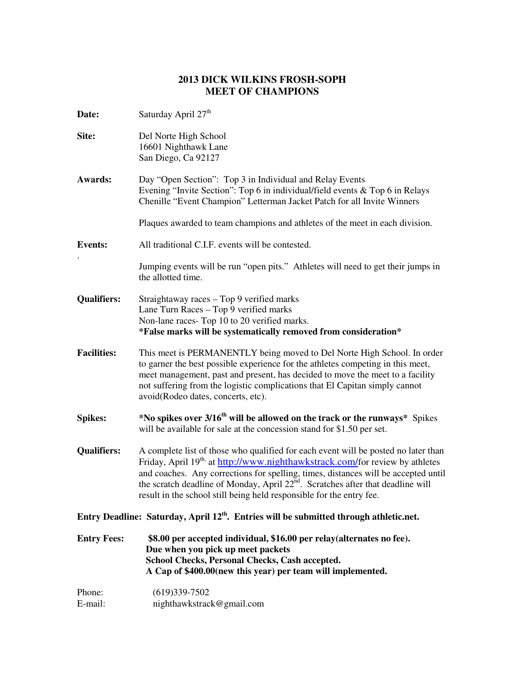## **2013 DICK WILKINS FROSH-SOPH MEET OF CHAMPIONS**

**Date:** Saturday April 27<sup>th</sup> **Site:** Del Norte High School 16601 Nighthawk Lane San Diego, Ca 92127 **Awards:** Day "Open Section": Top 3 in Individual and Relay Events Evening "Invite Section": Top 6 in individual/field events & Top 6 in Relays Chenille "Event Champion" Letterman Jacket Patch for all Invite Winners Plaques awarded to team champions and athletes of the meet in each division. **Events:** All traditional C.I.F. events will be contested. . Jumping events will be run "open pits." Athletes will need to get their jumps in the allotted time. **Qualifiers:** Straightaway races – Top 9 verified marks Lane Turn Races – Top 9 verified marks Non-lane races- Top 10 to 20 verified marks. **\*False marks will be systematically removed from consideration\* Facilities:** This meet is PERMANENTLY being moved to Del Norte High School. In order to garner the best possible experience for the athletes competing in this meet, meet management, past and present, has decided to move the meet to a facility not suffering from the logistic complications that El Capitan simply cannot avoid(Rodeo dates, concerts, etc). **Spikes: \*No spikes over 3/16th will be allowed on the track or the runways\*** Spikes will be available for sale at the concession stand for \$1.50 per set. **Qualifiers:** A complete list of those who qualified for each event will be posted no later than Friday, April 19<sup>th,</sup> at http://www.nighthawkstrack.com/for review by athletes and coaches. Any corrections for spelling, times, distances will be accepted until the scratch deadline of Monday, April 22<sup>nd</sup>. Scratches after that deadline will result in the school still being held responsible for the entry fee. **Entry Deadline: Saturday, April 12th. Entries will be submitted through athletic.net. Entry Fees: \$8.00 per accepted individual, \$16.00 per relay(alternates no fee). Due when you pick up meet packets School Checks, Personal Checks, Cash accepted. A Cap of \$400.00(new this year) per team will implemented.**  Phone: (619)339-7502 E-mail: nighthawkstrack@gmail.com